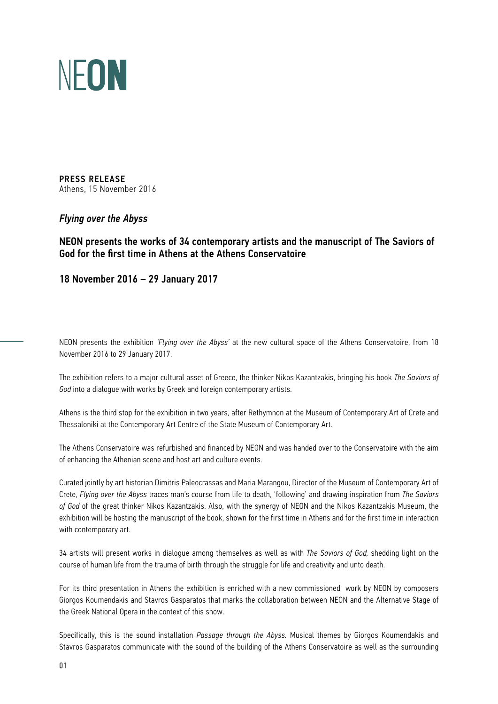

PRESS RELEASE Athens, 15 November 2016

## *Flying over the Abyss*

NEON presents the works of 34 contemporary artists and the manuscript of The Saviors of God for the first time in Athens at the Athens Conservatoire

18 November 2016 – 29 January 2017

NEON presents the exhibition *'Flying over the Abyss'* at the new cultural space of the Athens Conservatoire, from 18 November 2016 to 29 January 2017.

The exhibition refers to a major cultural asset of Greece, the thinker Nikos Kazantzakis, bringing his book *The Saviors of God* into a dialogue with works by Greek and foreign contemporary artists.

Athens is the third stop for the exhibition in two years, after Rethymnon at the Museum of Contemporary Art of Crete and Thessaloniki at the Contemporary Art Centre of the State Museum of Contemporary Art.

The Athens Conservatoire was refurbished and financed by ΝΕΟΝ and was handed over to the Conservatoire with the aim of enhancing the Athenian scene and host art and culture events.

Curated jointly by art historian Dimitris Paleocrassas and Maria Marangou, Director of the Museum of Contemporary Art of Crete, *Flying over the Abyss* traces man's course from life to death, 'following' and drawing inspiration from *The Saviors of God* of the great thinker Nikos Kazantzakis. Also, with the synergy of NEON and the Nikos Kazantzakis Museum, the exhibition will be hosting the manuscript of the book, shown for the first time in Athens and for the first time in interaction with contemporary art.

34 artists will present works in dialogue among themselves as well as with *The Saviors of God,* shedding light on the course of human life from the trauma of birth through the struggle for life and creativity and unto death.

For its third presentation in Athens the exhibition is enriched with a new commissioned work by NEON by composers Giorgos Koumendakis and Stavros Gasparatos that marks the collaboration between NEON and the Alternative Stage of the Greek National Opera in the context of this show.

Specifically, this is the sound installation *Passage through the Abyss.* Musical themes by Giorgos Koumendakis and Stavros Gasparatos communicate with the sound of the building of the Athens Conservatoire as well as the surrounding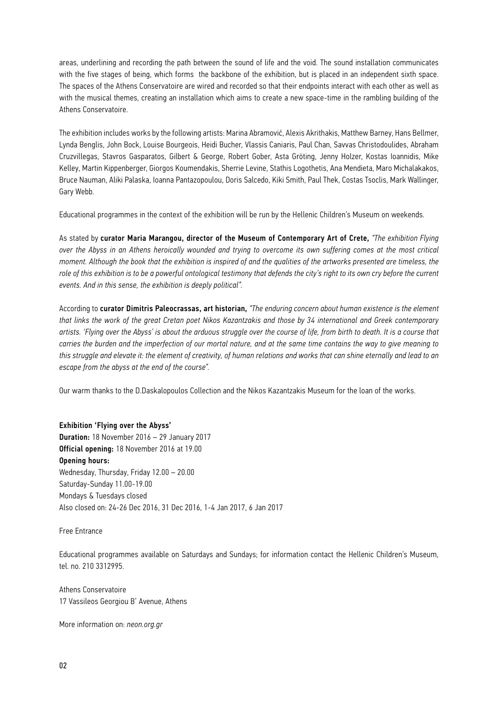areas, underlining and recording the path between the sound of life and the void. The sound installation communicates with the five stages of being, which forms the backbone of the exhibition, but is placed in an independent sixth space. The spaces of the Athens Conservatoire are wired and recorded so that their endpoints interact with each other as well as with the musical themes, creating an installation which aims to create a new space-time in the rambling building of the Athens Conservatoire.

The exhibition includes works by the following artists: Marina Abramović, Alexis Akrithakis, Matthew Barney, Hans Bellmer, Lynda Benglis, John Bock, Louise Bourgeois, Heidi Bucher, Vlassis Caniaris, Paul Chan, Savvas Christodoulides, Abraham Cruzvillegas, Stavros Gasparatos, Gilbert & George, Robert Gober, Asta Gröting, Jenny Holzer, Kostas Ioannidis, Mike Kelley, Martin Kippenberger, Giorgos Koumendakis, Sherrie Levine, Stathis Logothetis, Ana Mendieta, Maro Michalakakos, Bruce Nauman, Aliki Palaska, Ioanna Pantazopoulou, Doris Salcedo, Kiki Smith, Paul Thek, Costas Tsoclis, Mark Wallinger, Gary Webb.

Educational programmes in the context of the exhibition will be run by the Hellenic Children's Museum on weekends.

As stated by curator Maria Marangou, director of the Museum of Contemporary Art of Crete, *"The exhibition Flying over the Abyss in an Athens heroically wounded and trying to overcome its own suffering comes at the most critical moment. Although the book that the exhibition is inspired of and the qualities of the artworks presented are timeless, the role of this exhibition is to be a powerful ontological testimony that defends the city's right to its own cry before the current events. And in this sense, the exhibition is deeply political".*

According to curator Dimitris Paleocrassas, art historian, *"The enduring concern about human existence is the element that links the work of the great Cretan poet Nikos Kazantzakis and those by 34 international and Greek contemporary artists. 'Flying over the Abyss' is about the arduous struggle over the course of life, from birth to death. It is a course that carries the burden and the imperfection of our mortal nature, and at the same time contains the way to give meaning to this struggle and elevate it: the element of creativity, of human relations and works that can shine eternally and lead to an escape from the abyss at the end of the course".*

Our warm thanks to the D.Daskalopoulos Collection and the Nikos Kazantzakis Museum for the loan of the works.

## Exhibition 'Flying over the Abyss' Duration: 18 November 2016 – 29 January 2017 Official opening: 18 November 2016 at 19.00 Opening hours: Wednesday, Thursday, Friday 12.00 – 20.00 Saturday-Sunday 11.00-19.00 Mondays & Tuesdays closed Also closed on: 24-26 Dec 2016, 31 Dec 2016, 1-4 Jan 2017, 6 Jan 2017

Free Entrance

Educational programmes available on Saturdays and Sundays; for information contact the Hellenic Children's Museum, tel. no. 210 3312995.

Athens Conservatoire 17 Vassileos Georgiou B' Avenue, Athens

More information on: *neon.org.gr*